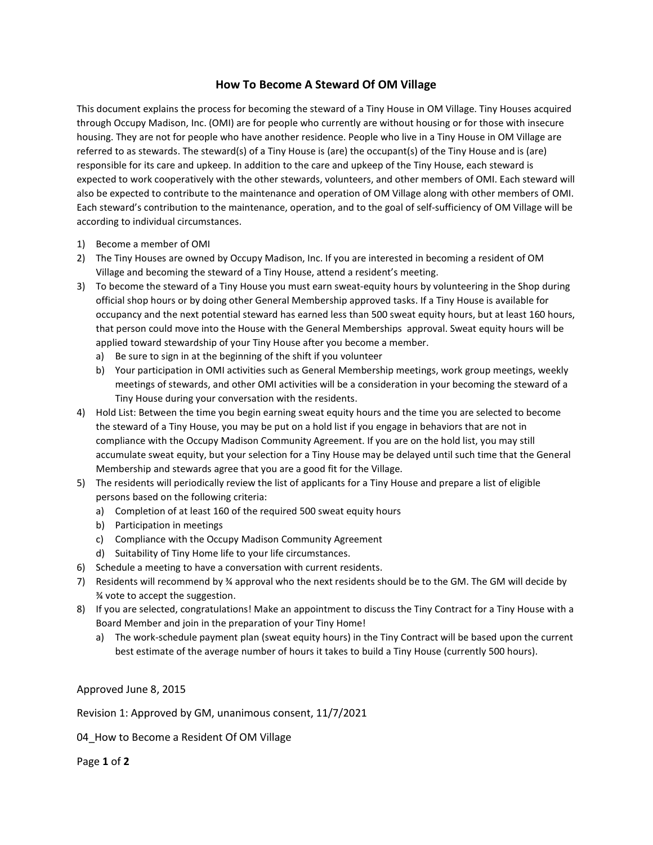## How To Become A Steward Of OM Village

This document explains the process for becoming the steward of a Tiny House in OM Village. Tiny Houses acquired through Occupy Madison, Inc. (OMI) are for people who currently are without housing or for those with insecure housing. They are not for people who have another residence. People who live in a Tiny House in OM Village are referred to as stewards. The steward(s) of a Tiny House is (are) the occupant(s) of the Tiny House and is (are) responsible for its care and upkeep. In addition to the care and upkeep of the Tiny House, each steward is expected to work cooperatively with the other stewards, volunteers, and other members of OMI. Each steward will also be expected to contribute to the maintenance and operation of OM Village along with other members of OMI. Each steward's contribution to the maintenance, operation, and to the goal of self-sufficiency of OM Village will be according to individual circumstances.

- 1) Become a member of OMI
- 2) The Tiny Houses are owned by Occupy Madison, Inc. If you are interested in becoming a resident of OM Village and becoming the steward of a Tiny House, attend a resident's meeting.
- 3) To become the steward of a Tiny House you must earn sweat-equity hours by volunteering in the Shop during official shop hours or by doing other General Membership approved tasks. If a Tiny House is available for occupancy and the next potential steward has earned less than 500 sweat equity hours, but at least 160 hours, that person could move into the House with the General Memberships approval. Sweat equity hours will be applied toward stewardship of your Tiny House after you become a member.
	- a) Be sure to sign in at the beginning of the shift if you volunteer
	- b) Your participation in OMI activities such as General Membership meetings, work group meetings, weekly meetings of stewards, and other OMI activities will be a consideration in your becoming the steward of a Tiny House during your conversation with the residents.
- 4) Hold List: Between the time you begin earning sweat equity hours and the time you are selected to become the steward of a Tiny House, you may be put on a hold list if you engage in behaviors that are not in compliance with the Occupy Madison Community Agreement. If you are on the hold list, you may still accumulate sweat equity, but your selection for a Tiny House may be delayed until such time that the General Membership and stewards agree that you are a good fit for the Village.
- 5) The residents will periodically review the list of applicants for a Tiny House and prepare a list of eligible persons based on the following criteria:
	- a) Completion of at least 160 of the required 500 sweat equity hours
	- b) Participation in meetings
	- c) Compliance with the Occupy Madison Community Agreement
	- d) Suitability of Tiny Home life to your life circumstances.
- 6) Schedule a meeting to have a conversation with current residents.
- 7) Residents will recommend by 34 approval who the next residents should be to the GM. The GM will decide by ¾ vote to accept the suggestion.
- 8) If you are selected, congratulations! Make an appointment to discuss the Tiny Contract for a Tiny House with a Board Member and join in the preparation of your Tiny Home!
	- a) The work-schedule payment plan (sweat equity hours) in the Tiny Contract will be based upon the current best estimate of the average number of hours it takes to build a Tiny House (currently 500 hours).

Approved June 8, 2015

Revision 1: Approved by GM, unanimous consent, 11/7/2021

04\_How to Become a Resident Of OM Village

Page 1 of 2